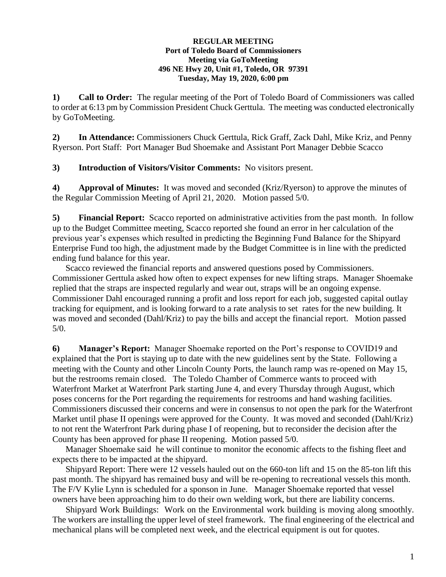## **REGULAR MEETING Port of Toledo Board of Commissioners Meeting via GoToMeeting 496 NE Hwy 20, Unit #1, Toledo, OR 97391 Tuesday, May 19, 2020, 6:00 pm**

**1) Call to Order:** The regular meeting of the Port of Toledo Board of Commissioners was called to order at 6:13 pm by Commission President Chuck Gerttula. The meeting was conducted electronically by GoToMeeting.

**2) In Attendance:** Commissioners Chuck Gerttula, Rick Graff, Zack Dahl, Mike Kriz, and Penny Ryerson. Port Staff: Port Manager Bud Shoemake and Assistant Port Manager Debbie Scacco

**3) Introduction of Visitors/Visitor Comments:** No visitors present.

**4) Approval of Minutes:** It was moved and seconded (Kriz/Ryerson) to approve the minutes of the Regular Commission Meeting of April 21, 2020. Motion passed 5/0.

**5) Financial Report:** Scacco reported on administrative activities from the past month. In follow up to the Budget Committee meeting, Scacco reported she found an error in her calculation of the previous year's expenses which resulted in predicting the Beginning Fund Balance for the Shipyard Enterprise Fund too high, the adjustment made by the Budget Committee is in line with the predicted ending fund balance for this year.

Scacco reviewed the financial reports and answered questions posed by Commissioners. Commissioner Gerttula asked how often to expect expenses for new lifting straps. Manager Shoemake replied that the straps are inspected regularly and wear out, straps will be an ongoing expense. Commissioner Dahl encouraged running a profit and loss report for each job, suggested capital outlay tracking for equipment, and is looking forward to a rate analysis to set rates for the new building. It was moved and seconded (Dahl/Kriz) to pay the bills and accept the financial report. Motion passed 5/0.

**6) Manager's Report:** Manager Shoemake reported on the Port's response to COVID19 and explained that the Port is staying up to date with the new guidelines sent by the State. Following a meeting with the County and other Lincoln County Ports, the launch ramp was re-opened on May 15, but the restrooms remain closed. The Toledo Chamber of Commerce wants to proceed with Waterfront Market at Waterfront Park starting June 4, and every Thursday through August, which poses concerns for the Port regarding the requirements for restrooms and hand washing facilities. Commissioners discussed their concerns and were in consensus to not open the park for the Waterfront Market until phase II openings were approved for the County. It was moved and seconded (Dahl/Kriz) to not rent the Waterfront Park during phase I of reopening, but to reconsider the decision after the County has been approved for phase II reopening. Motion passed 5/0.

Manager Shoemake said he will continue to monitor the economic affects to the fishing fleet and expects there to be impacted at the shipyard.

Shipyard Report: There were 12 vessels hauled out on the 660-ton lift and 15 on the 85-ton lift this past month. The shipyard has remained busy and will be re-opening to recreational vessels this month. The F/V Kylie Lynn is scheduled for a sponson in June. Manager Shoemake reported that vessel owners have been approaching him to do their own welding work, but there are liability concerns.

Shipyard Work Buildings:Work on the Environmental work building is moving along smoothly. The workers are installing the upper level of steel framework. The final engineering of the electrical and mechanical plans will be completed next week, and the electrical equipment is out for quotes.